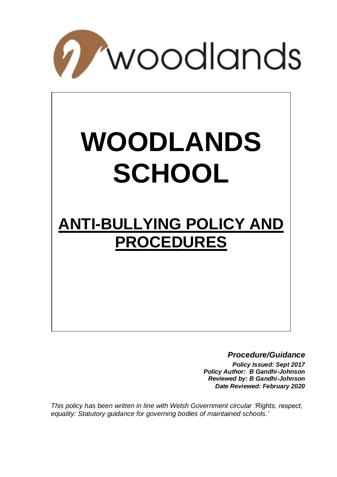

# **WOODLANDS SCHOOL**

# **ANTI-BULLYING POLICY AND PROCEDURES**

*Procedure/Guidance*

*Policy Issued: Sept 2017 Policy Author: B Gandhi-Johnson Reviewed by: B Gandhi-Johnson Date Reviewed: February 2020*

*This policy has been written in line with Welsh Government circular 'Rights, respect, equality: Statutory guidance for governing bodies of maintained schools.'*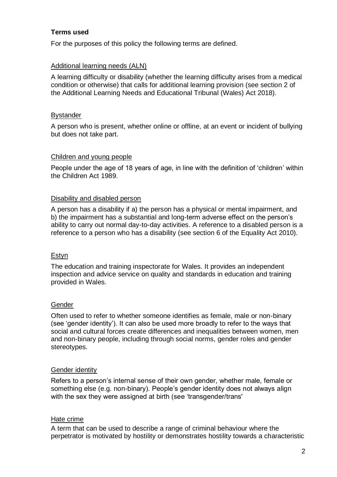# **Terms used**

For the purposes of this policy the following terms are defined.

# Additional learning needs (ALN)

A learning difficulty or disability (whether the learning difficulty arises from a medical condition or otherwise) that calls for additional learning provision (see section 2 of the Additional Learning Needs and Educational Tribunal (Wales) Act 2018).

#### **Bystander**

A person who is present, whether online or offline, at an event or incident of bullying but does not take part.

# Children and young people

People under the age of 18 years of age, in line with the definition of 'children' within the Children Act 1989.

# Disability and disabled person

A person has a disability if a) the person has a physical or mental impairment, and b) the impairment has a substantial and long-term adverse effect on the person's ability to carry out normal day-to-day activities. A reference to a disabled person is a reference to a person who has a disability (see section 6 of the Equality Act 2010).

#### Estyn

The education and training inspectorate for Wales. It provides an independent inspection and advice service on quality and standards in education and training provided in Wales.

#### Gender

Often used to refer to whether someone identifies as female, male or non-binary (see 'gender identity'). It can also be used more broadly to refer to the ways that social and cultural forces create differences and inequalities between women, men and non-binary people, including through social norms, gender roles and gender stereotypes.

#### Gender identity

Refers to a person's internal sense of their own gender, whether male, female or something else (e.g. non-binary). People's gender identity does not always align with the sex they were assigned at birth (see 'transgender/trans'

#### Hate crime

A term that can be used to describe a range of criminal behaviour where the perpetrator is motivated by hostility or demonstrates hostility towards a characteristic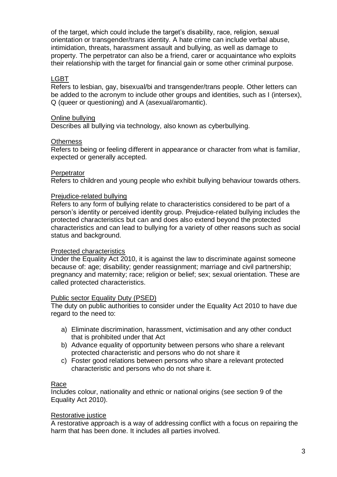of the target, which could include the target's disability, race, religion, sexual orientation or transgender/trans identity. A hate crime can include verbal abuse, intimidation, threats, harassment assault and bullying, as well as damage to property. The perpetrator can also be a friend, carer or acquaintance who exploits their relationship with the target for financial gain or some other criminal purpose.

# LGBT

Refers to lesbian, gay, bisexual/bi and transgender/trans people. Other letters can be added to the acronym to include other groups and identities, such as I (intersex), Q (queer or questioning) and A (asexual/aromantic).

#### Online bullying

Describes all bullying via technology, also known as cyberbullying.

# **Otherness**

Refers to being or feeling different in appearance or character from what is familiar, expected or generally accepted.

#### **Perpetrator**

Refers to children and young people who exhibit bullying behaviour towards others.

#### Prejudice-related bullying

Refers to any form of bullying relate to characteristics considered to be part of a person's identity or perceived identity group. Prejudice-related bullying includes the protected characteristics but can and does also extend beyond the protected characteristics and can lead to bullying for a variety of other reasons such as social status and background.

#### Protected characteristics

Under the Equality Act 2010, it is against the law to discriminate against someone because of: age; disability; gender reassignment; marriage and civil partnership; pregnancy and maternity; race; religion or belief; sex; sexual orientation. These are called protected characteristics.

#### Public sector Equality Duty (PSED)

The duty on public authorities to consider under the Equality Act 2010 to have due regard to the need to:

- a) Eliminate discrimination, harassment, victimisation and any other conduct that is prohibited under that Act
- b) Advance equality of opportunity between persons who share a relevant protected characteristic and persons who do not share it
- c) Foster good relations between persons who share a relevant protected characteristic and persons who do not share it.

#### Race

Includes colour, nationality and ethnic or national origins (see section 9 of the Equality Act 2010).

#### Restorative justice

A restorative approach is a way of addressing conflict with a focus on repairing the harm that has been done. It includes all parties involved.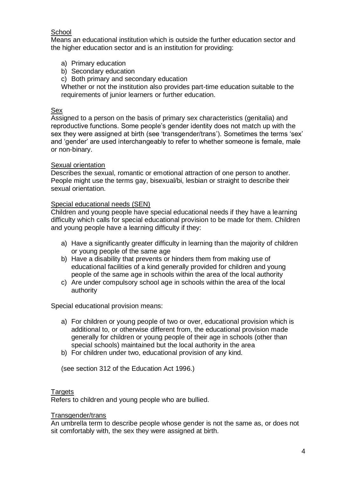# **School**

Means an educational institution which is outside the further education sector and the higher education sector and is an institution for providing:

- a) Primary education
- b) Secondary education
- c) Both primary and secondary education

Whether or not the institution also provides part-time education suitable to the requirements of junior learners or further education.

# Sex

Assigned to a person on the basis of primary sex characteristics (genitalia) and reproductive functions. Some people's gender identity does not match up with the sex they were assigned at birth (see 'transgender/trans'). Sometimes the terms 'sex' and 'gender' are used interchangeably to refer to whether someone is female, male or non-binary.

#### Sexual orientation

Describes the sexual, romantic or emotional attraction of one person to another. People might use the terms gay, bisexual/bi, lesbian or straight to describe their sexual orientation.

# Special educational needs (SEN)

Children and young people have special educational needs if they have a learning difficulty which calls for special educational provision to be made for them. Children and young people have a learning difficulty if they:

- a) Have a significantly greater difficulty in learning than the majority of children or young people of the same age
- b) Have a disability that prevents or hinders them from making use of educational facilities of a kind generally provided for children and young people of the same age in schools within the area of the local authority
- c) Are under compulsory school age in schools within the area of the local authority

Special educational provision means:

- a) For children or young people of two or over, educational provision which is additional to, or otherwise different from, the educational provision made generally for children or young people of their age in schools (other than special schools) maintained but the local authority in the area
- b) For children under two, educational provision of any kind.

(see section 312 of the Education Act 1996.)

# **Targets**

Refers to children and young people who are bullied.

#### Transgender/trans

An umbrella term to describe people whose gender is not the same as, or does not sit comfortably with, the sex they were assigned at birth.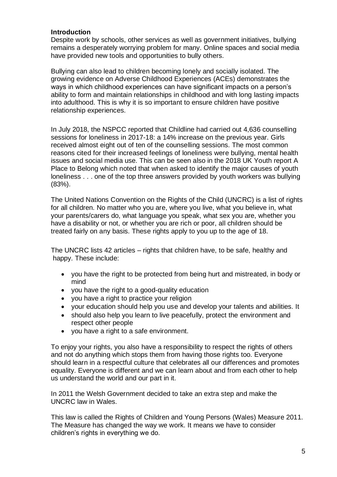#### **Introduction**

Despite work by schools, other services as well as government initiatives, bullying remains a desperately worrying problem for many. Online spaces and social media have provided new tools and opportunities to bully others.

Bullying can also lead to children becoming lonely and socially isolated. The growing evidence on Adverse Childhood Experiences (ACEs) demonstrates the ways in which childhood experiences can have significant impacts on a person's ability to form and maintain relationships in childhood and with long lasting impacts into adulthood. This is why it is so important to ensure children have positive relationship experiences.

In July 2018, the NSPCC reported that Childline had carried out 4,636 counselling sessions for loneliness in 2017-18: a 14% increase on the previous year. Girls received almost eight out of ten of the counselling sessions. The most common reasons cited for their increased feelings of loneliness were bullying, mental health issues and social media use. This can be seen also in the 2018 UK Youth report A Place to Belong which noted that when asked to identify the major causes of youth loneliness . . . one of the top three answers provided by youth workers was bullying (83%).

The United Nations Convention on the Rights of the Child (UNCRC) is a list of rights for all children. No matter who you are, where you live, what you believe in, what your parents/carers do, what language you speak, what sex you are, whether you have a disability or not, or whether you are rich or poor, all children should be treated fairly on any basis. These rights apply to you up to the age of 18.

The UNCRC lists 42 articles – rights that children have, to be safe, healthy and happy. These include:

- you have the right to be protected from being hurt and mistreated, in body or mind
- you have the right to a good-quality education
- you have a right to practice your religion
- your education should help you use and develop your talents and abilities. It
- should also help you learn to live peacefully, protect the environment and respect other people
- you have a right to a safe environment.

To enjoy your rights, you also have a responsibility to respect the rights of others and not do anything which stops them from having those rights too. Everyone should learn in a respectful culture that celebrates all our differences and promotes equality. Everyone is different and we can learn about and from each other to help us understand the world and our part in it.

In 2011 the Welsh Government decided to take an extra step and make the UNCRC law in Wales.

This law is called the Rights of Children and Young Persons (Wales) Measure 2011. The Measure has changed the way we work. It means we have to consider children's rights in everything we do.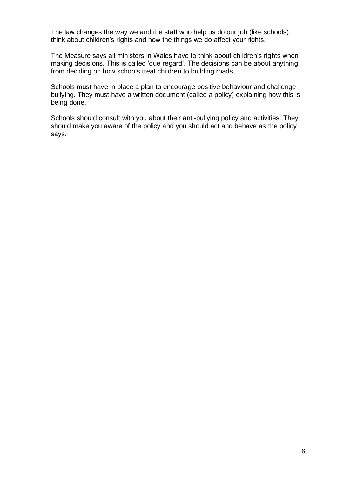The law changes the way we and the staff who help us do our job (like schools), think about children's rights and how the things we do affect your rights.

The Measure says all ministers in Wales have to think about children's rights when making decisions. This is called 'due regard'. The decisions can be about anything, from deciding on how schools treat children to building roads.

Schools must have in place a plan to encourage positive behaviour and challenge bullying. They must have a written document (called a policy) explaining how this is being done.

Schools should consult with you about their anti-bullying policy and activities. They should make you aware of the policy and you should act and behave as the policy says.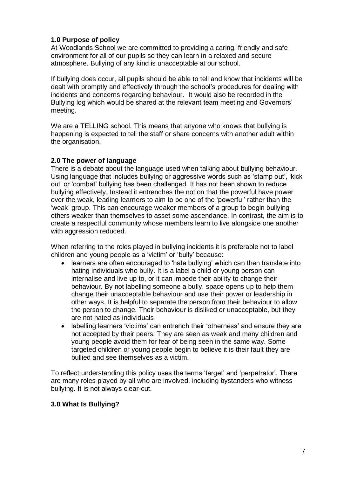# **1.0 Purpose of policy**

At Woodlands School we are committed to providing a caring, friendly and safe environment for all of our pupils so they can learn in a relaxed and secure atmosphere. Bullying of any kind is unacceptable at our school.

If bullying does occur, all pupils should be able to tell and know that incidents will be dealt with promptly and effectively through the school's procedures for dealing with incidents and concerns regarding behaviour. It would also be recorded in the Bullying log which would be shared at the relevant team meeting and Governors' meeting.

We are a TELLING school. This means that anyone who knows that bullying is happening is expected to tell the staff or share concerns with another adult within the organisation.

# **2.0 The power of language**

There is a debate about the language used when talking about bullying behaviour. Using language that includes bullying or aggressive words such as 'stamp out', 'kick out' or 'combat' bullying has been challenged. It has not been shown to reduce bullying effectively. Instead it entrenches the notion that the powerful have power over the weak, leading learners to aim to be one of the 'powerful' rather than the 'weak' group. This can encourage weaker members of a group to begin bullying others weaker than themselves to asset some ascendance. In contrast, the aim is to create a respectful community whose members learn to live alongside one another with aggression reduced.

When referring to the roles played in bullying incidents it is preferable not to label children and young people as a 'victim' or 'bully' because:

- learners are often encouraged to 'hate bullying' which can then translate into hating individuals who bully. It is a label a child or young person can internalise and live up to, or it can impede their ability to change their behaviour. By not labelling someone a bully, space opens up to help them change their unacceptable behaviour and use their power or leadership in other ways. It is helpful to separate the person from their behaviour to allow the person to change. Their behaviour is disliked or unacceptable, but they are not hated as individuals
- labelling learners 'victims' can entrench their 'otherness' and ensure they are not accepted by their peers. They are seen as weak and many children and young people avoid them for fear of being seen in the same way. Some targeted children or young people begin to believe it is their fault they are bullied and see themselves as a victim.

To reflect understanding this policy uses the terms 'target' and 'perpetrator'. There are many roles played by all who are involved, including bystanders who witness bullying. It is not always clear-cut.

# **3.0 What Is Bullying?**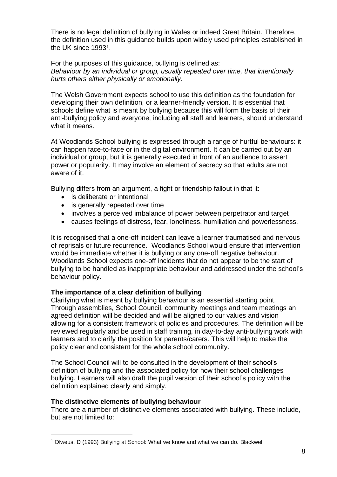There is no legal definition of bullying in Wales or indeed Great Britain. Therefore, the definition used in this guidance builds upon widely used principles established in the UK since 1993<sup>1</sup>.

For the purposes of this guidance, bullying is defined as: *Behaviour by an individual or group, usually repeated over time, that intentionally hurts others either physically or emotionally.* 

The Welsh Government expects school to use this definition as the foundation for developing their own definition, or a learner-friendly version. It is essential that schools define what is meant by bullying because this will form the basis of their anti-bullying policy and everyone, including all staff and learners, should understand what it means.

At Woodlands School bullying is expressed through a range of hurtful behaviours: it can happen face-to-face or in the digital environment. It can be carried out by an individual or group, but it is generally executed in front of an audience to assert power or popularity. It may involve an element of secrecy so that adults are not aware of it.

Bullying differs from an argument, a fight or friendship fallout in that it:

- is deliberate or intentional
- is generally repeated over time
- involves a perceived imbalance of power between perpetrator and target
- causes feelings of distress, fear, loneliness, humiliation and powerlessness.

It is recognised that a one-off incident can leave a learner traumatised and nervous of reprisals or future recurrence. Woodlands School would ensure that intervention would be immediate whether it is bullying or any one-off negative behaviour. Woodlands School expects one-off incidents that do not appear to be the start of bullying to be handled as inappropriate behaviour and addressed under the school's behaviour policy.

# **The importance of a clear definition of bullying**

Clarifying what is meant by bullying behaviour is an essential starting point. Through assemblies, School Council, community meetings and team meetings an agreed definition will be decided and will be aligned to our values and vision allowing for a consistent framework of policies and procedures. The definition will be reviewed regularly and be used in staff training, in day-to-day anti-bullying work with learners and to clarify the position for parents/carers. This will help to make the policy clear and consistent for the whole school community.

The School Council will to be consulted in the development of their school's definition of bullying and the associated policy for how their school challenges bullying. Learners will also draft the pupil version of their school's policy with the definition explained clearly and simply.

#### **The distinctive elements of bullying behaviour**

There are a number of distinctive elements associated with bullying. These include, but are not limited to:

<sup>1</sup> Olweus, D (1993) Bullying at School: What we know and what we can do. Blackwell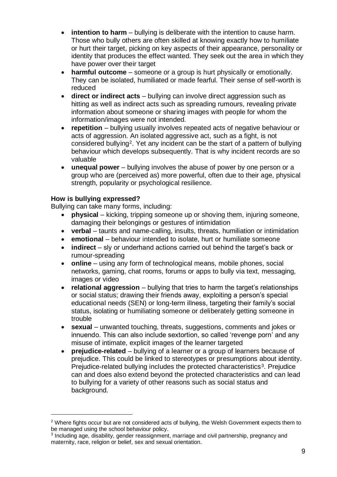- **intention to harm** bullying is deliberate with the intention to cause harm. Those who bully others are often skilled at knowing exactly how to humiliate or hurt their target, picking on key aspects of their appearance, personality or identity that produces the effect wanted. They seek out the area in which they have power over their target
- **harmful outcome**  someone or a group is hurt physically or emotionally. They can be isolated, humiliated or made fearful. Their sense of self-worth is reduced
- **direct or indirect acts**  bullying can involve direct aggression such as hitting as well as indirect acts such as spreading rumours, revealing private information about someone or sharing images with people for whom the information/images were not intended.
- **repetition** bullying usually involves repeated acts of negative behaviour or acts of aggression. An isolated aggressive act, such as a fight, is not considered bullying<sup>2</sup>. Yet any incident can be the start of a pattern of bullying behaviour which develops subsequently. That is why incident records are so valuable
- **unequal power** bullying involves the abuse of power by one person or a group who are (perceived as) more powerful, often due to their age, physical strength, popularity or psychological resilience.

# **How is bullying expressed?**

Bullying can take many forms, including:

- **physical** kicking, tripping someone up or shoving them, injuring someone, damaging their belongings or gestures of intimidation
- **verbal** taunts and name-calling, insults, threats, humiliation or intimidation
- **emotional**  behaviour intended to isolate, hurt or humiliate someone
- **indirect** sly or underhand actions carried out behind the target's back or rumour-spreading
- **online** using any form of technological means, mobile phones, social networks, gaming, chat rooms, forums or apps to bully via text, messaging, images or video
- **relational aggression** bullying that tries to harm the target's relationships or social status; drawing their friends away, exploiting a person's special educational needs (SEN) or long-term illness, targeting their family's social status, isolating or humiliating someone or deliberately getting someone in trouble
- **sexual** unwanted touching, threats, suggestions, comments and jokes or innuendo. This can also include sextortion, so called 'revenge porn' and any misuse of intimate, explicit images of the learner targeted
- **prejudice-related** bullying of a learner or a group of learners because of prejudice. This could be linked to stereotypes or presumptions about identity. Prejudice-related bullying includes the protected characteristics<sup>3</sup>. Prejudice can and does also extend beyond the protected characteristics and can lead to bullying for a variety of other reasons such as social status and background.

<sup>&</sup>lt;sup>2</sup> Where fights occur but are not considered acts of bullying, the Welsh Government expects them to be managed using the school behaviour policy.

<sup>3</sup> Including age, disability, gender reassignment, marriage and civil partnership, pregnancy and maternity, race, religion or belief, sex and sexual orientation.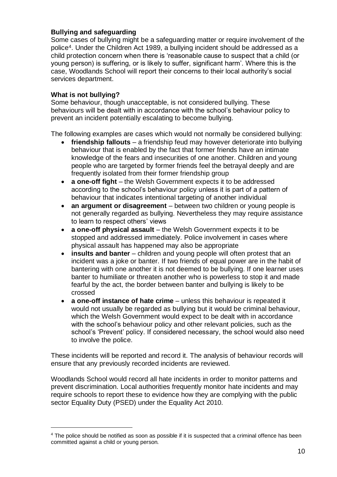# **Bullying and safeguarding**

Some cases of bullying might be a safeguarding matter or require involvement of the police<sup>4</sup> . Under the Children Act 1989, a bullying incident should be addressed as a child protection concern when there is 'reasonable cause to suspect that a child (or young person) is suffering, or is likely to suffer, significant harm'. Where this is the case, Woodlands School will report their concerns to their local authority's social services department.

# **What is not bullying?**

Some behaviour, though unacceptable, is not considered bullying. These behaviours will be dealt with in accordance with the school's behaviour policy to prevent an incident potentially escalating to become bullying.

The following examples are cases which would not normally be considered bullying:

- **friendship fallouts**  a friendship feud may however deteriorate into bullying behaviour that is enabled by the fact that former friends have an intimate knowledge of the fears and insecurities of one another. Children and young people who are targeted by former friends feel the betrayal deeply and are frequently isolated from their former friendship group
- **a one-off fight** the Welsh Government expects it to be addressed according to the school's behaviour policy unless it is part of a pattern of behaviour that indicates intentional targeting of another individual
- **an argument or disagreement** between two children or young people is not generally regarded as bullying. Nevertheless they may require assistance to learn to respect others' views
- **a one-off physical assault** the Welsh Government expects it to be stopped and addressed immediately. Police involvement in cases where physical assault has happened may also be appropriate
- **insults and banter** children and young people will often protest that an incident was a joke or banter. If two friends of equal power are in the habit of bantering with one another it is not deemed to be bullying. If one learner uses banter to humiliate or threaten another who is powerless to stop it and made fearful by the act, the border between banter and bullying is likely to be crossed
- **a one-off instance of hate crime** unless this behaviour is repeated it would not usually be regarded as bullying but it would be criminal behaviour, which the Welsh Government would expect to be dealt with in accordance with the school's behaviour policy and other relevant policies, such as the school's 'Prevent' policy. If considered necessary, the school would also need to involve the police.

These incidents will be reported and record it. The analysis of behaviour records will ensure that any previously recorded incidents are reviewed.

Woodlands School would record all hate incidents in order to monitor patterns and prevent discrimination. Local authorities frequently monitor hate incidents and may require schools to report these to evidence how they are complying with the public sector Equality Duty (PSED) under the Equality Act 2010.

<sup>&</sup>lt;sup>4</sup> The police should be notified as soon as possible if it is suspected that a criminal offence has been committed against a child or young person.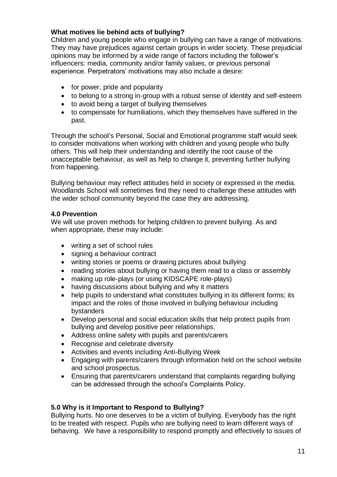# **What motives lie behind acts of bullying?**

Children and young people who engage in bullying can have a range of motivations. They may have prejudices against certain groups in wider society. These prejudicial opinions may be informed by a wide range of factors including the follower's influencers: media, community and/or family values, or previous personal experience. Perpetrators' motivations may also include a desire:

- for power, pride and popularity
- to belong to a strong in-group with a robust sense of identity and self-esteem
- to avoid being a target of bullying themselves
- to compensate for humiliations, which they themselves have suffered in the past.

Through the school's Personal, Social and Emotional programme staff would seek to consider motivations when working with children and young people who bully others. This will help their understanding and identify the root cause of the unacceptable behaviour, as well as help to change it, preventing further bullying from happening.

Bullying behaviour may reflect attitudes held in society or expressed in the media. Woodlands School will sometimes find they need to challenge these attitudes with the wider school community beyond the case they are addressing.

# **4.0 Prevention**

We will use proven methods for helping children to prevent bullying. As and when appropriate, these may include:

- writing a set of school rules
- signing a behaviour contract
- writing stories or poems or drawing pictures about bullying
- reading stories about bullying or having them read to a class or assembly
- making up role-plays (or using KIDSCAPE role-plays)
- having discussions about bullying and why it matters
- help pupils to understand what constitutes bullying in its different forms; its impact and the roles of those involved in bullying behaviour including bystanders
- Develop personal and social education skills that help protect pupils from bullying and develop positive peer relationships.
- Address online safety with pupils and parents/carers
- Recognise and celebrate diversity
- Activities and events including Anti-Bullying Week
- Engaging with parents/carers through information held on the school website and school prospectus.
- Ensuring that parents/carers understand that complaints regarding bullying can be addressed through the school's Complaints Policy.

# **5.0 Why is it Important to Respond to Bullying?**

Bullying hurts. No one deserves to be a victim of bullying. Everybody has the right to be treated with respect. Pupils who are bullying need to learn different ways of behaving. We have a responsibility to respond promptly and effectively to issues of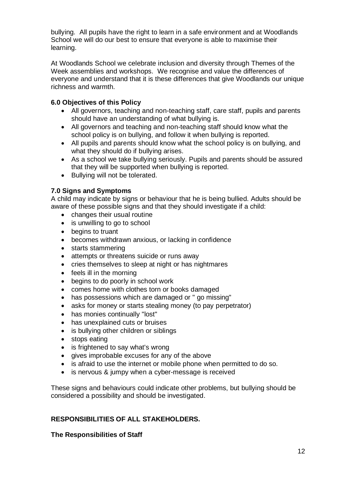bullying. All pupils have the right to learn in a safe environment and at Woodlands School we will do our best to ensure that everyone is able to maximise their learning.

At Woodlands School we celebrate inclusion and diversity through Themes of the Week assemblies and workshops. We recognise and value the differences of everyone and understand that it is these differences that give Woodlands our unique richness and warmth.

# **6.0 Objectives of this Policy**

- All governors, teaching and non-teaching staff, care staff, pupils and parents should have an understanding of what bullying is.
- All governors and teaching and non-teaching staff should know what the school policy is on bullying, and follow it when bullying is reported.
- All pupils and parents should know what the school policy is on bullying, and what they should do if bullying arises.
- As a school we take bullying seriously. Pupils and parents should be assured that they will be supported when bullying is reported.
- Bullying will not be tolerated.

# **7.0 Signs and Symptoms**

A child may indicate by signs or behaviour that he is being bullied. Adults should be aware of these possible signs and that they should investigate if a child:

- changes their usual routine
- is unwilling to go to school
- begins to truant
- becomes withdrawn anxious, or lacking in confidence
- starts stammering
- attempts or threatens suicide or runs away
- cries themselves to sleep at night or has nightmares
- feels ill in the morning
- begins to do poorly in school work
- comes home with clothes torn or books damaged
- has possessions which are damaged or " go missing"
- asks for money or starts stealing money (to pay perpetrator)
- has monies continually "lost"
- has unexplained cuts or bruises
- is bullying other children or siblings
- stops eating
- is frightened to say what's wrong
- gives improbable excuses for any of the above
- is afraid to use the internet or mobile phone when permitted to do so.
- is nervous & jumpy when a cyber-message is received

These signs and behaviours could indicate other problems, but bullying should be considered a possibility and should be investigated.

# **RESPONSIBILITIES OF ALL STAKEHOLDERS.**

# **The Responsibilities of Staff**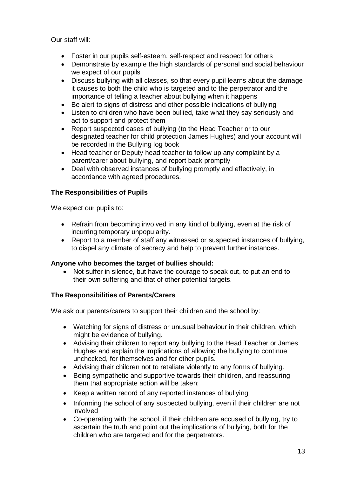Our staff will:

- Foster in our pupils self-esteem, self-respect and respect for others
- Demonstrate by example the high standards of personal and social behaviour we expect of our pupils
- Discuss bullying with all classes, so that every pupil learns about the damage it causes to both the child who is targeted and to the perpetrator and the importance of telling a teacher about bullying when it happens
- Be alert to signs of distress and other possible indications of bullying
- Listen to children who have been bullied, take what they say seriously and act to support and protect them
- Report suspected cases of bullying (to the Head Teacher or to our designated teacher for child protection James Hughes) and your account will be recorded in the Bullying log book
- Head teacher or Deputy head teacher to follow up any complaint by a parent/carer about bullying, and report back promptly
- Deal with observed instances of bullying promptly and effectively, in accordance with agreed procedures.

# **The Responsibilities of Pupils**

We expect our pupils to:

- Refrain from becoming involved in any kind of bullying, even at the risk of incurring temporary unpopularity.
- Report to a member of staff any witnessed or suspected instances of bullying, to dispel any climate of secrecy and help to prevent further instances.

# **Anyone who becomes the target of bullies should:**

• Not suffer in silence, but have the courage to speak out, to put an end to their own suffering and that of other potential targets.

# **The Responsibilities of Parents/Carers**

We ask our parents/carers to support their children and the school by:

- Watching for signs of distress or unusual behaviour in their children, which might be evidence of bullying.
- Advising their children to report any bullying to the Head Teacher or James Hughes and explain the implications of allowing the bullying to continue unchecked, for themselves and for other pupils.
- Advising their children not to retaliate violently to any forms of bullying.
- Being sympathetic and supportive towards their children, and reassuring them that appropriate action will be taken;
- Keep a written record of any reported instances of bullying
- Informing the school of any suspected bullying, even if their children are not involved
- Co-operating with the school, if their children are accused of bullying, try to ascertain the truth and point out the implications of bullying, both for the children who are targeted and for the perpetrators.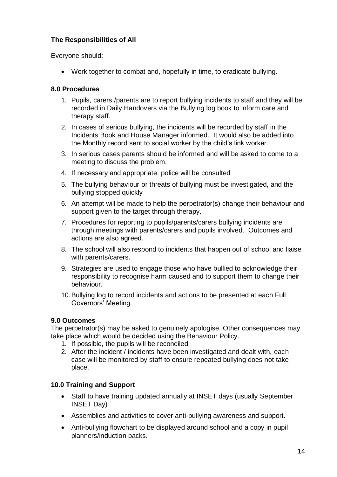# **The Responsibilities of All**

Everyone should:

• Work together to combat and, hopefully in time, to eradicate bullying.

# **8.0 Procedures**

- 1. Pupils, carers /parents are to report bullying incidents to staff and they will be recorded in Daily Handovers via the Bullying log book to inform care and therapy staff.
- 2. In cases of serious bullying, the incidents will be recorded by staff in the Incidents Book and House Manager informed. It would also be added into the Monthly record sent to social worker by the child's link worker.
- 3. In serious cases parents should be informed and will be asked to come to a meeting to discuss the problem.
- 4. If necessary and appropriate, police will be consulted
- 5. The bullying behaviour or threats of bullying must be investigated, and the bullying stopped quickly
- 6. An attempt will be made to help the perpetrator(s) change their behaviour and support given to the target through therapy.
- 7. Procedures for reporting to pupils/parents/carers bullying incidents are through meetings with parents/carers and pupils involved. Outcomes and actions are also agreed.
- 8. The school will also respond to incidents that happen out of school and liaise with parents/carers.
- 9. Strategies are used to engage those who have bullied to acknowledge their responsibility to recognise harm caused and to support them to change their behaviour.
- 10.Bullying log to record incidents and actions to be presented at each Full Governors' Meeting.

# **9.0 Outcomes**

The perpetrator(s) may be asked to genuinely apologise. Other consequences may take place which would be decided using the Behaviour Policy.

- 1. If possible, the pupils will be reconciled
- 2. After the incident / incidents have been investigated and dealt with, each case will be monitored by staff to ensure repeated bullying does not take place.

# **10.0 Training and Support**

- Staff to have training updated annually at INSET days (usually September INSET Day)
- Assemblies and activities to cover anti-bullying awareness and support.
- Anti-bullying flowchart to be displayed around school and a copy in pupil planners/induction packs.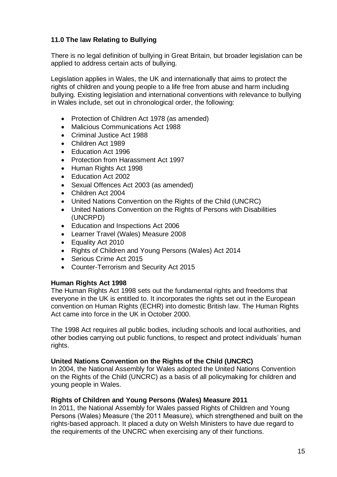# **11.0 The law Relating to Bullying**

There is no legal definition of bullying in Great Britain, but broader legislation can be applied to address certain acts of bullying.

Legislation applies in Wales, the UK and internationally that aims to protect the rights of children and young people to a life free from abuse and harm including bullying. Existing legislation and international conventions with relevance to bullying in Wales include, set out in chronological order, the following:

- Protection of Children Act 1978 (as amended)
- Malicious Communications Act 1988
- Criminal Justice Act 1988
- Children Act 1989
- Education Act 1996
- Protection from Harassment Act 1997
- Human Rights Act 1998
- Education Act 2002
- Sexual Offences Act 2003 (as amended)
- Children Act 2004
- United Nations Convention on the Rights of the Child (UNCRC)
- United Nations Convention on the Rights of Persons with Disabilities (UNCRPD)
- Education and Inspections Act 2006
- Learner Travel (Wales) Measure 2008
- Equality Act 2010
- Rights of Children and Young Persons (Wales) Act 2014
- Serious Crime Act 2015
- Counter-Terrorism and Security Act 2015

#### **Human Rights Act 1998**

The Human Rights Act 1998 sets out the fundamental rights and freedoms that everyone in the UK is entitled to. It incorporates the rights set out in the European convention on Human Rights (ECHR) into domestic British law. The Human Rights Act came into force in the UK in October 2000.

The 1998 Act requires all public bodies, including schools and local authorities, and other bodies carrying out public functions, to respect and protect individuals' human rights.

#### **United Nations Convention on the Rights of the Child (UNCRC)**

In 2004, the National Assembly for Wales adopted the United Nations Convention on the Rights of the Child (UNCRC) as a basis of all policymaking for children and young people in Wales.

#### **Rights of Children and Young Persons (Wales) Measure 2011**

In 2011, the National Assembly for Wales passed Rights of Children and Young Persons (Wales) Measure ('the 2011 Measure), which strengthened and built on the rights-based approach. It placed a duty on Welsh Ministers to have due regard to the requirements of the UNCRC when exercising any of their functions.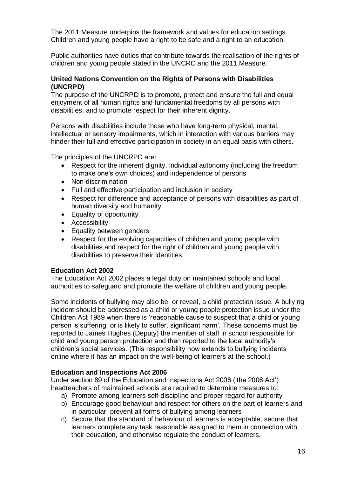The 2011 Measure underpins the framework and values for education settings. Children and young people have a right to be safe and a right to an education.

Public authorities have duties that contribute towards the realisation of the rights of children and young people stated in the UNCRC and the 2011 Measure.

# **United Nations Convention on the Rights of Persons with Disabilities (UNCRPD)**

The purpose of the UNCRPD is to promote, protect and ensure the full and equal enjoyment of all human rights and fundamental freedoms by all persons with disabilities, and to promote respect for their inherent dignity.

Persons with disabilities include those who have long-term physical, mental, intellectual or sensory impairments, which in interaction with various barriers may hinder their full and effective participation in society in an equal basis with others.

The principles of the UNCRPD are:

- Respect for the inherent dignity, individual autonomy (including the freedom to make one's own choices) and independence of persons
- Non-discrimination
- Full and effective participation and inclusion in society
- Respect for difference and acceptance of persons with disabilities as part of human diversity and humanity
- Equality of opportunity
- Accessibility
- Equality between genders
- Respect for the evolving capacities of children and young people with disabilities and respect for the right of children and young people with disabilities to preserve their identities.

# **Education Act 2002**

The Education Act 2002 places a legal duty on maintained schools and local authorities to safeguard and promote the welfare of children and young people.

Some incidents of bullying may also be, or reveal, a child protection issue. A bullying incident should be addressed as a child or young people protection issue under the Children Act 1989 when there is 'reasonable cause to suspect that a child or young person is suffering, or is likely to suffer, significant harm'. These concerns must be reported to James Hughes (Deputy) the member of staff in school responsible for child and young person protection and then reported to the local authority's children's social services. (This responsibility now extends to bullying incidents online where it has an impact on the well-being of learners at the school.)

# **Education and Inspections Act 2006**

Under section 89 of the Education and Inspections Act 2006 ('the 2006 Act') headteachers of maintained schools are required to determine measures to:

- a) Promote among learners self-discipline and proper regard for authority
- b) Encourage good behaviour and respect for others on the part of learners and, in particular, prevent all forms of bullying among learners
- c) Secure that the standard of behaviour of learners is acceptable, secure that learners complete any task reasonable assigned to them in connection with their education, and otherwise regulate the conduct of learners.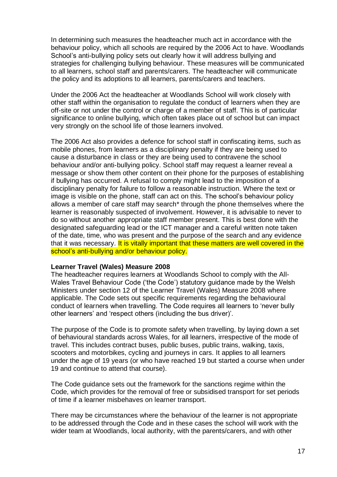In determining such measures the headteacher much act in accordance with the behaviour policy, which all schools are required by the 2006 Act to have. Woodlands School's anti-bullying policy sets out clearly how it will address bullying and strategies for challenging bullying behaviour. These measures will be communicated to all learners, school staff and parents/carers. The headteacher will communicate the policy and its adoptions to all learners, parents/carers and teachers.

Under the 2006 Act the headteacher at Woodlands School will work closely with other staff within the organisation to regulate the conduct of learners when they are off-site or not under the control or charge of a member of staff. This is of particular significance to online bullying, which often takes place out of school but can impact very strongly on the school life of those learners involved.

The 2006 Act also provides a defence for school staff in confiscating items, such as mobile phones, from learners as a disciplinary penalty if they are being used to cause a disturbance in class or they are being used to contravene the school behaviour and/or anti-bullying policy. School staff may request a learner reveal a message or show them other content on their phone for the purposes of establishing if bullying has occurred. A refusal to comply might lead to the imposition of a disciplinary penalty for failure to follow a reasonable instruction. Where the text or image is visible on the phone, staff can act on this. The school's behaviour policy allows a member of care staff may search\* through the phone themselves where the learner is reasonably suspected of involvement. However, it is advisable to never to do so without another appropriate staff member present. This is best done with the designated safeguarding lead or the ICT manager and a careful written note taken of the date, time, who was present and the purpose of the search and any evidence that it was necessary. It is vitally important that these matters are well covered in the school's anti-bullying and/or behaviour policy.

#### **Learner Travel (Wales) Measure 2008**

The headteacher requires learners at Woodlands School to comply with the All-Wales Travel Behaviour Code ('the Code') statutory guidance made by the Welsh Ministers under section 12 of the Learner Travel (Wales) Measure 2008 where applicable. The Code sets out specific requirements regarding the behavioural conduct of learners when travelling. The Code requires all learners to 'never bully other learners' and 'respect others (including the bus driver)'.

The purpose of the Code is to promote safety when travelling, by laying down a set of behavioural standards across Wales, for all learners, irrespective of the mode of travel. This includes contract buses, public buses, public trains, walking, taxis, scooters and motorbikes, cycling and journeys in cars. It applies to all learners under the age of 19 years (or who have reached 19 but started a course when under 19 and continue to attend that course).

The Code guidance sets out the framework for the sanctions regime within the Code, which provides for the removal of free or subsidised transport for set periods of time if a learner misbehaves on learner transport.

There may be circumstances where the behaviour of the learner is not appropriate to be addressed through the Code and in these cases the school will work with the wider team at Woodlands, local authority, with the parents/carers, and with other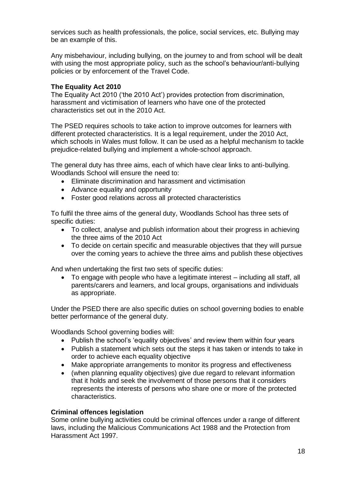services such as health professionals, the police, social services, etc. Bullying may be an example of this.

Any misbehaviour, including bullying, on the journey to and from school will be dealt with using the most appropriate policy, such as the school's behaviour/anti-bullying policies or by enforcement of the Travel Code.

# **The Equality Act 2010**

The Equality Act 2010 ('the 2010 Act') provides protection from discrimination, harassment and victimisation of learners who have one of the protected characteristics set out in the 2010 Act.

The PSED requires schools to take action to improve outcomes for learners with different protected characteristics. It is a legal requirement, under the 2010 Act, which schools in Wales must follow. It can be used as a helpful mechanism to tackle prejudice-related bullying and implement a whole-school approach.

The general duty has three aims, each of which have clear links to anti-bullying. Woodlands School will ensure the need to:

- Eliminate discrimination and harassment and victimisation
- Advance equality and opportunity
- Foster good relations across all protected characteristics

To fulfil the three aims of the general duty, Woodlands School has three sets of specific duties:

- To collect, analyse and publish information about their progress in achieving the three aims of the 2010 Act
- To decide on certain specific and measurable objectives that they will pursue over the coming years to achieve the three aims and publish these objectives

And when undertaking the first two sets of specific duties:

• To engage with people who have a legitimate interest – including all staff, all parents/carers and learners, and local groups, organisations and individuals as appropriate.

Under the PSED there are also specific duties on school governing bodies to enable better performance of the general duty.

Woodlands School governing bodies will:

- Publish the school's 'equality objectives' and review them within four years
- Publish a statement which sets out the steps it has taken or intends to take in order to achieve each equality objective
- Make appropriate arrangements to monitor its progress and effectiveness
- (when planning equality objectives) give due regard to relevant information that it holds and seek the involvement of those persons that it considers represents the interests of persons who share one or more of the protected characteristics.

#### **Criminal offences legislation**

Some online bullying activities could be criminal offences under a range of different laws, including the Malicious Communications Act 1988 and the Protection from Harassment Act 1997.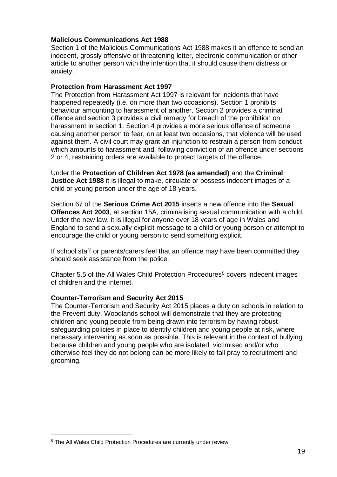# **Malicious Communications Act 1988**

Section 1 of the Malicious Communications Act 1988 makes it an offence to send an indecent, grossly offensive or threatening letter, electronic communication or other article to another person with the intention that it should cause them distress or anxiety.

#### **Protection from Harassment Act 1997**

The Protection from Harassment Act 1997 is relevant for incidents that have happened repeatedly (i.e. on more than two occasions). Section 1 prohibits behaviour amounting to harassment of another. Section 2 provides a criminal offence and section 3 provides a civil remedy for breach of the prohibition on harassment in section 1. Section 4 provides a more serious offence of someone causing another person to fear, on at least two occasions, that violence will be used against them. A civil court may grant an injunction to restrain a person from conduct which amounts to harassment and, following conviction of an offence under sections 2 or 4, restraining orders are available to protect targets of the offence.

Under the **Protection of Children Act 1978 (as amended)** and the **Criminal Justice Act 1988** it is illegal to make, circulate or possess indecent images of a child or young person under the age of 18 years.

Section 67 of the **Serious Crime Act 2015** inserts a new offence into the **Sexual Offences Act 2003**, at section 15A, criminalising sexual communication with a child. Under the new law, it is illegal for anyone over 18 years of age in Wales and England to send a sexually explicit message to a child or young person or attempt to encourage the child or young person to send something explicit.

If school staff or parents/carers feel that an offence may have been committed they should seek assistance from the police.

Chapter 5.5 of the All Wales Child Protection Procedures<sup>5</sup> covers indecent images of children and the internet.

#### **Counter-Terrorism and Security Act 2015**

The Counter-Terrorism and Security Act 2015 places a duty on schools in relation to the Prevent duty. Woodlands school will demonstrate that they are protecting children and young people from being drawn into terrorism by having robust safeguarding policies in place to identify children and young people at risk, where necessary intervening as soon as possible. This is relevant in the context of bullying because children and young people who are isolated, victimised and/or who otherwise feel they do not belong can be more likely to fall pray to recruitment and grooming.

<sup>5</sup> The All Wales Child Protection Procedures are currently under review.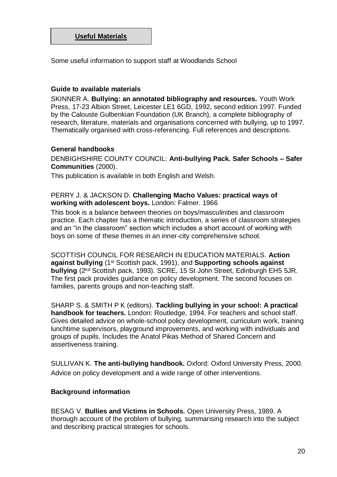#### **Useful Materials**

Some useful information to support staff at Woodlands School

#### **Guide to available materials**

SKINNER A. **Bullying: an annotated bibliography and resources.** Youth Work Press, 17-23 Albion Street, Leicester LE1 6GD, 1992, second edition 1997. Funded by the Calouste Gulbenkian Foundation (UK Branch), a complete bibliography of research, literature, materials and organisations concerned with bullying, up to 1997. Thematically organised with cross-referencing. Full references and descriptions.

#### **General handbooks**

DENBIGHSHIRE COUNTY COUNCIL: **Anti-bullying Pack. Safer Schools – Safer Communities** (2000).

This publication is available in both English and Welsh.

#### PERRY J. & JACKSON D. **Challenging Macho Values: practical ways of working with adolescent boys.** London: Falmer. 1966

This book is a balance between theories on boys/masculinities and classroom practice. Each chapter has a thematic introduction, a series of classroom strategies and an "in the classroom" section which includes a short account of working with boys on some of these themes in an inner-city comprehensive school.

SCOTTISH COUNCIL FOR RESEARCH IN EDUCATION MATERIALS. **Action against bullying** (1st Scottish pack, 1991), and **Supporting schools against bullying** (2nd Scottish pack, 1993). SCRE, 15 St John Street, Edinburgh EH5 5JR. The first pack provides guidance on policy development. The second focuses on families, parents groups and non-teaching staff.

SHARP S. & SMITH P K (editors). **Tackling bullying in your school: A practical handbook for teachers.** London: Routledge, 1994. For teachers and school staff. Gives detailed advice on whole-school policy development, curriculum work, training lunchtime supervisors, playground improvements, and working with individuals and groups of pupils. Includes the Anatol Pikas Method of Shared Concern and assertiveness training.

SULLIVAN K. **The anti-bullying handbook.** Oxford: Oxford University Press, 2000. Advice on policy development and a wide range of other interventions.

#### **Background information**

BESAG V. **Bullies and Victims in Schools.** Open University Press, 1989. A thorough account of the problem of bullying, summarising research into the subject and describing practical strategies for schools.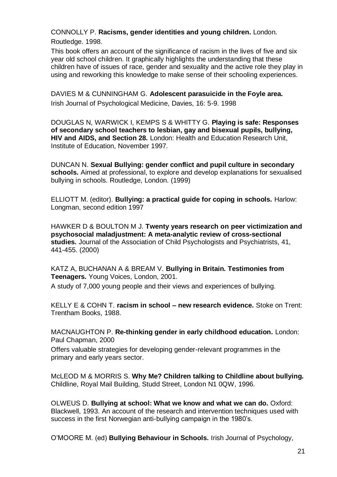CONNOLLY P. **Racisms, gender identities and young children.** London. Routledge. 1998.

This book offers an account of the significance of racism in the lives of five and six year old school children. It graphically highlights the understanding that these children have of issues of race, gender and sexuality and the active role they play in using and reworking this knowledge to make sense of their schooling experiences.

DAVIES M & CUNNINGHAM G. **Adolescent parasuicide in the Foyle area.**  Irish Journal of Psychological Medicine, Davies, 16: 5-9. 1998

DOUGLAS N, WARWICK I, KEMPS S & WHITTY G. **Playing is safe: Responses of secondary school teachers to lesbian, gay and bisexual pupils, bullying, HIV and AIDS, and Section 28.** London: Health and Education Research Unit, Institute of Education, November 1997.

DUNCAN N. **Sexual Bullying: gender conflict and pupil culture in secondary schools.** Aimed at professional, to explore and develop explanations for sexualised bullying in schools. Routledge, London. (1999)

ELLIOTT M. (editor). **Bullying: a practical guide for coping in schools.** Harlow: Longman, second edition 1997

HAWKER D & BOULTON M J. **Twenty years research on peer victimization and psychosocial maladjustment: A meta-analytic review of cross-sectional studies.** Journal of the Association of Child Psychologists and Psychiatrists, 41, 441-455. (2000)

KATZ A, BUCHANAN A & BREAM V. **Bullying in Britain. Testimonies from Teenagers.** Young Voices, London, 2001.

A study of 7,000 young people and their views and experiences of bullying.

KELLY E & COHN T. **racism in school – new research evidence.** Stoke on Trent: Trentham Books, 1988.

MACNAUGHTON P. **Re-thinking gender in early childhood education.** London: Paul Chapman, 2000

Offers valuable strategies for developing gender-relevant programmes in the primary and early years sector.

McLEOD M & MORRIS S. **Why Me? Children talking to Childline about bullying.**  Childline, Royal Mail Building, Studd Street, London N1 0QW, 1996.

OLWEUS D. **Bullying at school: What we know and what we can do.** Oxford: Blackwell, 1993. An account of the research and intervention techniques used with success in the first Norwegian anti-bullying campaign in the 1980's.

O'MOORE M. (ed) **Bullying Behaviour in Schools.** Irish Journal of Psychology,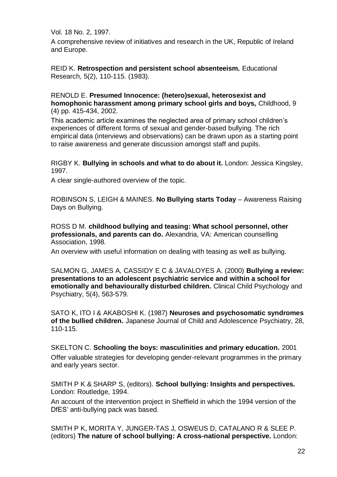Vol. 18 No. 2, 1997.

A comprehensive review of initiatives and research in the UK, Republic of Ireland and Europe.

REID K. **Retrospection and persistent school absenteeism.** Educational Research, 5(2), 110-115. (1983).

#### RENOLD E. **Presumed Innocence: (hetero)sexual, heterosexist and homophonic harassment among primary school girls and boys,** Childhood, 9 (4) pp. 415-434, 2002.

This academic article examines the neglected area of primary school children's experiences of different forms of sexual and gender-based bullying. The rich empirical data (interviews and observations) can be drawn upon as a starting point to raise awareness and generate discussion amongst staff and pupils.

#### RIGBY K. **Bullying in schools and what to do about it.** London: Jessica Kingsley, 1997.

A clear single-authored overview of the topic.

ROBINSON S, LEIGH & MAINES. **No Bullying starts Today** – Awareness Raising Days on Bullying.

ROSS D M. **childhood bullying and teasing: What school personnel, other professionals, and parents can do.** Alexandria, VA: American counselling Association, 1998.

An overview with useful information on dealing with teasing as well as bullying.

SALMON G, JAMES A, CASSIDY E C & JAVALOYES A. (2000) **Bullying a review: presentations to an adolescent psychiatric service and within a school for emotionally and behaviourally disturbed children.** Clinical Child Psychology and Psychiatry, 5(4), 563-579.

SATO K, ITO I & AKABOSHI K. (1987) **Neuroses and psychosomatic syndromes of the bullied children.** Japanese Journal of Child and Adolescence Psychiatry, 28, 110-115.

SKELTON C. **Schooling the boys: masculinities and primary education.** 2001 Offer valuable strategies for developing gender-relevant programmes in the primary and early years sector.

SMITH P K & SHARP S, (editors). **School bullying: Insights and perspectives.**  London: Routledge, 1994.

An account of the intervention project in Sheffield in which the 1994 version of the DfES' anti-bullying pack was based.

SMITH P K, MORITA Y, JUNGER-TAS J, OSWEUS D, CATALANO R & SLEE P. (editors) **The nature of school bullying: A cross-national perspective.** London: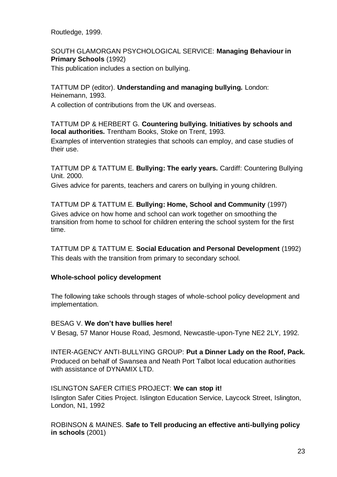Routledge, 1999.

# SOUTH GLAMORGAN PSYCHOLOGICAL SERVICE: **Managing Behaviour in Primary Schools** (1992)

This publication includes a section on bullying.

TATTUM DP (editor). **Understanding and managing bullying.** London: Heinemann, 1993.

A collection of contributions from the UK and overseas.

TATTUM DP & HERBERT G. **Countering bullying. Initiatives by schools and local authorities.** Trentham Books, Stoke on Trent, 1993.

Examples of intervention strategies that schools can employ, and case studies of their use.

TATTUM DP & TATTUM E. **Bullying: The early years.** Cardiff: Countering Bullying Unit. 2000.

Gives advice for parents, teachers and carers on bullying in young children.

TATTUM DP & TATTUM E. **Bullying: Home, School and Community** (1997) Gives advice on how home and school can work together on smoothing the transition from home to school for children entering the school system for the first time.

TATTUM DP & TATTUM E. **Social Education and Personal Development** (1992) This deals with the transition from primary to secondary school.

#### **Whole-school policy development**

The following take schools through stages of whole-school policy development and implementation.

#### BESAG V. **We don't have bullies here!**

V Besag, 57 Manor House Road, Jesmond, Newcastle-upon-Tyne NE2 2LY, 1992.

INTER-AGENCY ANTI-BULLYING GROUP: **Put a Dinner Lady on the Roof, Pack.**  Produced on behalf of Swansea and Neath Port Talbot local education authorities with assistance of DYNAMIX LTD.

#### ISLINGTON SAFER CITIES PROJECT: **We can stop it!**

Islington Safer Cities Project. Islington Education Service, Laycock Street, Islington, London, N1, 1992

# ROBINSON & MAINES. **Safe to Tell producing an effective anti-bullying policy in schools** (2001)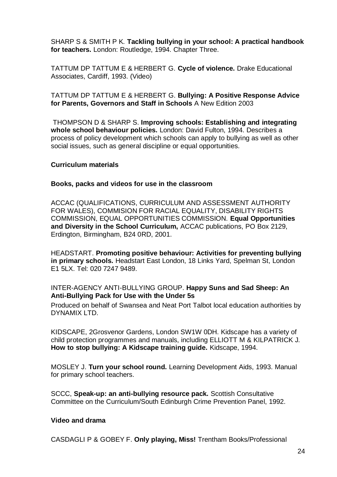SHARP S & SMITH P K. **Tackling bullying in your school: A practical handbook for teachers.** London: Routledge, 1994. Chapter Three.

TATTUM DP TATTUM E & HERBERT G. **Cycle of violence.** Drake Educational Associates, Cardiff, 1993. (Video)

TATTUM DP TATTUM E & HERBERT G. **Bullying: A Positive Response Advice for Parents, Governors and Staff in Schools** A New Edition 2003

THOMPSON D & SHARP S. **Improving schools: Establishing and integrating whole school behaviour policies.** London: David Fulton, 1994. Describes a process of policy development which schools can apply to bullying as well as other social issues, such as general discipline or equal opportunities.

#### **Curriculum materials**

#### **Books, packs and videos for use in the classroom**

ACCAC (QUALIFICATIONS, CURRICULUM AND ASSESSMENT AUTHORITY FOR WALES), COMMISION FOR RACIAL EQUALITY, DISABILITY RIGHTS COMMISSION, EQUAL OPPORTUNITIES COMMISSION. **Equal Opportunities and Diversity in the School Curriculum,** ACCAC publications, PO Box 2129, Erdington, Birmingham, B24 0RD, 2001.

HEADSTART. **Promoting positive behaviour: Activities for preventing bullying in primary schools.** Headstart East London, 18 Links Yard, Spelman St, London E1 5LX. Tel: 020 7247 9489.

#### INTER-AGENCY ANTI-BULLYING GROUP. **Happy Suns and Sad Sheep: An Anti-Bullying Pack for Use with the Under 5s**

Produced on behalf of Swansea and Neat Port Talbot local education authorities by DYNAMIX LTD.

KIDSCAPE, 2Grosvenor Gardens, London SW1W 0DH. Kidscape has a variety of child protection programmes and manuals, including ELLIOTT M & KILPATRICK J. **How to stop bullying: A Kidscape training guide.** Kidscape, 1994.

MOSLEY J. **Turn your school round.** Learning Development Aids, 1993. Manual for primary school teachers.

SCCC, **Speak-up: an anti-bullying resource pack.** Scottish Consultative Committee on the Curriculum/South Edinburgh Crime Prevention Panel, 1992.

#### **Video and drama**

CASDAGLI P & GOBEY F. **Only playing, Miss!** Trentham Books/Professional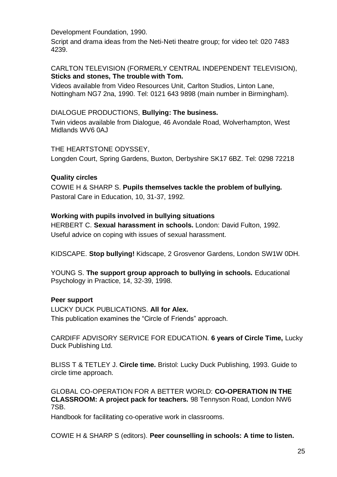Development Foundation, 1990.

Script and drama ideas from the Neti-Neti theatre group; for video tel: 020 7483 4239.

# CARLTON TELEVISION (FORMERLY CENTRAL INDEPENDENT TELEVISION), **Sticks and stones, The trouble with Tom.**

Videos available from Video Resources Unit, Carlton Studios, Linton Lane, Nottingham NG7 2na, 1990. Tel: 0121 643 9898 (main number in Birmingham).

# DIALOGUE PRODUCTIONS, **Bullying: The business.**

Twin videos available from Dialogue, 46 Avondale Road, Wolverhampton, West Midlands WV6 0AJ

THE HEARTSTONE ODYSSEY,

Longden Court, Spring Gardens, Buxton, Derbyshire SK17 6BZ. Tel: 0298 72218

# **Quality circles**

COWIE H & SHARP S. **Pupils themselves tackle the problem of bullying.**  Pastoral Care in Education, 10, 31-37, 1992.

# **Working with pupils involved in bullying situations**

HERBERT C. **Sexual harassment in schools.** London: David Fulton, 1992. Useful advice on coping with issues of sexual harassment.

KIDSCAPE. **Stop bullying!** Kidscape, 2 Grosvenor Gardens, London SW1W 0DH.

YOUNG S. **The support group approach to bullying in schools.** Educational Psychology in Practice, 14, 32-39, 1998.

# **Peer support**

LUCKY DUCK PUBLICATIONS. **All for Alex.**  This publication examines the "Circle of Friends" approach.

CARDIFF ADVISORY SERVICE FOR EDUCATION. **6 years of Circle Time,** Lucky Duck Publishing Ltd.

BLISS T & TETLEY J. **Circle time.** Bristol: Lucky Duck Publishing, 1993. Guide to circle time approach.

GLOBAL CO-OPERATION FOR A BETTER WORLD: **CO-OPERATION IN THE CLASSROOM: A project pack for teachers.** 98 Tennyson Road, London NW6 7SB.

Handbook for facilitating co-operative work in classrooms.

COWIE H & SHARP S (editors). **Peer counselling in schools: A time to listen.**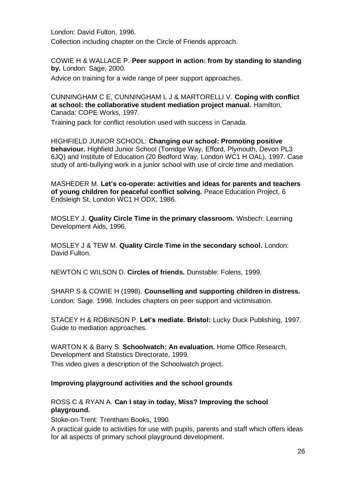London: David Fulton, 1996. Collection including chapter on the Circle of Friends approach.

COWIE H & WALLACE P. **Peer support in action: from by standing to standing by.** London: Sage, 2000.

Advice on training for a wide range of peer support approaches.

CUNNINGHAM C E, CUNNINGHAM L J & MARTORELLI V. **Coping with conflict at school: the collaborative student mediation project manual.** Hamilton, Canada: COPE Works, 1997.

Training pack for conflict resolution used with success in Canada.

HIGHFIELD JUNIOR SCHOOL: **Changing our school: Promoting positive behaviour.** Highfield Junior School (Torridge Way, Efford, Plymouth, Devon PL3 6JQ) and Institute of Education (20 Bedford Way, London WC1 H OAL), 1997. Case study of anti-bullying work in a junior school with use of circle time and mediation.

MASHEDER M. **Let's co-operate: activities and ideas for parents and teachers of young children for peaceful conflict solving.** Peace Education Project, 6 Endsleigh St, London WC1 H ODX, 1986.

MOSLEY J. **Quality Circle Time in the primary classroom.** Wisbech: Learning Development Aids, 1996.

MOSLEY J & TEW M. **Quality Circle Time in the secondary school.** London: David Fulton.

NEWTON C WILSON D. **Circles of friends.** Dunstable: Folens, 1999.

SHARP S & COWIE H (1998). **Counselling and supporting children in distress.**  London: Sage. 1998. Includes chapters on peer support and victimisation.

STACEY H & ROBINSON P. **Let's mediate. Bristol:** Lucky Duck Publishing, 1997. Guide to mediation approaches.

WARTON K & Barry S. **Schoolwatch: An evaluation.** Home Office Research, Development and Statistics Directorate, 1999.

This video gives a description of the Schoolwatch project.

#### **Improving playground activities and the school grounds**

# ROSS C & RYAN A. **Can I stay in today, Miss? Improving the school playground.**

Stoke-on-Trent: Trentham Books, 1990.

A practical guide to activities for use with pupils, parents and staff which offers ideas for all aspects of primary school playground development.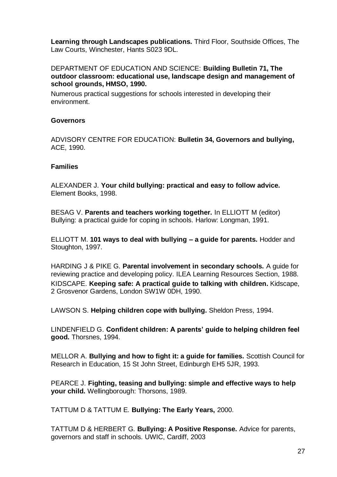**Learning through Landscapes publications.** Third Floor, Southside Offices, The Law Courts, Winchester, Hants S023 9DL.

DEPARTMENT OF EDUCATION AND SCIENCE: **Building Bulletin 71, The outdoor classroom: educational use, landscape design and management of school grounds, HMSO, 1990.** 

Numerous practical suggestions for schools interested in developing their environment.

#### **Governors**

ADVISORY CENTRE FOR EDUCATION: **Bulletin 34, Governors and bullying,**  ACE, 1990.

#### **Families**

ALEXANDER J. **Your child bullying: practical and easy to follow advice.**  Element Books, 1998.

BESAG V. **Parents and teachers working together.** In ELLIOTT M (editor) Bullying: a practical guide for coping in schools. Harlow: Longman, 1991.

ELLIOTT M. **101 ways to deal with bullying – a guide for parents.** Hodder and Stoughton, 1997.

HARDING J & PIKE G. **Parental involvement in secondary schools.** A guide for reviewing practice and developing policy. ILEA Learning Resources Section, 1988. KIDSCAPE. **Keeping safe: A practical guide to talking with children.** Kidscape, 2 Grosvenor Gardens, London SW1W 0DH, 1990.

LAWSON S. **Helping children cope with bullying.** Sheldon Press, 1994.

LINDENFIELD G. **Confident children: A parents' guide to helping children feel good.** Thorsnes, 1994.

MELLOR A. **Bullying and how to fight it: a guide for families.** Scottish Council for Research in Education, 15 St John Street, Edinburgh EH5 5JR, 1993.

PEARCE J. **Fighting, teasing and bullying: simple and effective ways to help your child.** Wellingborough: Thorsons, 1989.

TATTUM D & TATTUM E. **Bullying: The Early Years,** 2000.

TATTUM D & HERBERT G. **Bullying: A Positive Response.** Advice for parents, governors and staff in schools. UWIC, Cardiff, 2003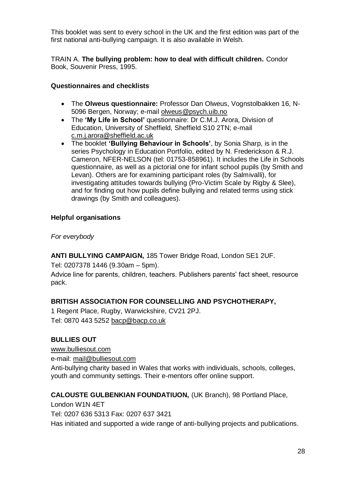This booklet was sent to every school in the UK and the first edition was part of the first national anti-bullying campaign. It is also available in Welsh.

TRAIN A. **The bullying problem: how to deal with difficult children.** Condor Book, Souvenir Press, 1995.

# **Questionnaires and checklists**

- The **Olweus questionnaire:** Professor Dan Olweus, Vognstolbakken 16, N-5096 Bergen, Norway; e-mail [olweus@psych.uib.no](mailto:olweus@psych.uib.no)
- The **'My Life in School'** questionnaire: Dr C.M.J. Arora, Division of Education, University of Sheffield, Sheffield S10 2TN; e-mail [c.m.j.arora@sheffield.ac.uk](mailto:c.m.j.arora@sheffield.ac.uk)
- The booklet **'Bullying Behaviour in Schools'**, by Sonia Sharp, is in the series Psychology in Education Portfolio, edited by N. Frederickson & R.J. Cameron, NFER-NELSON (tel: 01753-858961). It includes the Life in Schools questionnaire, as well as a pictorial one for infant school pupils (by Smith and Levan). Others are for examining participant roles (by Salmivalli), for investigating attitudes towards bullying (Pro-Victim Scale by Rigby & Slee). and for finding out how pupils define bullying and related terms using stick drawings (by Smith and colleagues).

# **Helpful organisations**

*For everybody* 

**ANTI BULLYING CAMPAIGN,** 185 Tower Bridge Road, London SE1 2UF.

Tel: 0207378 1446 (9.30am – 5pm).

Advice line for parents, children, teachers. Publishers parents' fact sheet, resource pack.

# **BRITISH ASSOCIATION FOR COUNSELLING AND PSYCHOTHERAPY,**

1 Regent Place, Rugby, Warwickshire, CV21 2PJ. Tel: 0870 443 5252 [bacp@bacp.co.uk](mailto:bacp@bacp.co.uk)

# **BULLIES OUT**

[www.bulliesout.com](http://www.bulliesout.com/)

e-mail: [mail@bulliesout.com](mailto:mail@bulliesout.com)

Anti-bullying charity based in Wales that works with individuals, schools, colleges, youth and community settings. Their e-mentors offer online support.

# **CALOUSTE GULBENKIAN FOUNDATIUON,** (UK Branch), 98 Portland Place,

London W1N 4ET Tel: 0207 636 5313 Fax: 0207 637 3421 Has initiated and supported a wide range of anti-bullying projects and publications.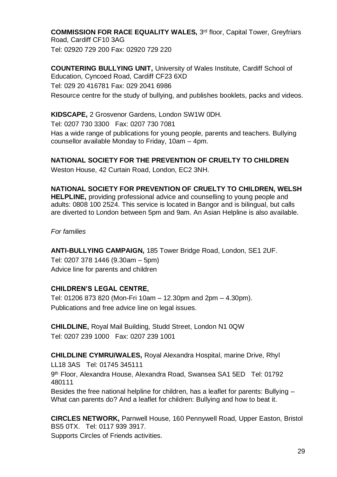**COMMISSION FOR RACE EQUALITY WALES,** 3 rd floor, Capital Tower, Greyfriars Road, Cardiff CF10 3AG Tel: 02920 729 200 Fax: 02920 729 220

**COUNTERING BULLYING UNIT,** University of Wales Institute, Cardiff School of Education, Cyncoed Road, Cardiff CF23 6XD Tel: 029 20 416781 Fax: 029 2041 6986 Resource centre for the study of bullying, and publishes booklets, packs and videos.

**KIDSCAPE,** 2 Grosvenor Gardens, London SW1W 0DH.

Tel: 0207 730 3300 Fax: 0207 730 7081 Has a wide range of publications for young people, parents and teachers. Bullying counsellor available Monday to Friday, 10am – 4pm.

**NATIONAL SOCIETY FOR THE PREVENTION OF CRUELTY TO CHILDREN**

Weston House, 42 Curtain Road, London, EC2 3NH.

**NATIONAL SOCIETY FOR PREVENTION OF CRUELTY TO CHILDREN, WELSH HELPLINE,** providing professional advice and counselling to young people and adults: 0808 100 2524. This service is located in Bangor and is bilingual, but calls are diverted to London between 5pm and 9am. An Asian Helpline is also available.

*For families* 

**ANTI-BULLYING CAMPAIGN,** 185 Tower Bridge Road, London, SE1 2UF.

Tel: 0207 378 1446 (9.30am – 5pm) Advice line for parents and children

# **CHILDREN'S LEGAL CENTRE,**

Tel: 01206 873 820 (Mon-Fri 10am – 12.30pm and 2pm – 4.30pm). Publications and free advice line on legal issues.

**CHILDLINE,** Royal Mail Building, Studd Street, London N1 0QW Tel: 0207 239 1000 Fax: 0207 239 1001

**CHILDLINE CYMRU/WALES,** Royal Alexandra Hospital, marine Drive, Rhyl LL18 3AS Tel: 01745 345111

9 th Floor, Alexandra House, Alexandra Road, Swansea SA1 5ED Tel: 01792 480111

Besides the free national helpline for children, has a leaflet for parents: Bullying – What can parents do? And a leaflet for children: Bullying and how to beat it.

**CIRCLES NETWORK,** Parnwell House, 160 Pennywell Road, Upper Easton, Bristol BS5 0TX. Tel: 0117 939 3917.

Supports Circles of Friends activities.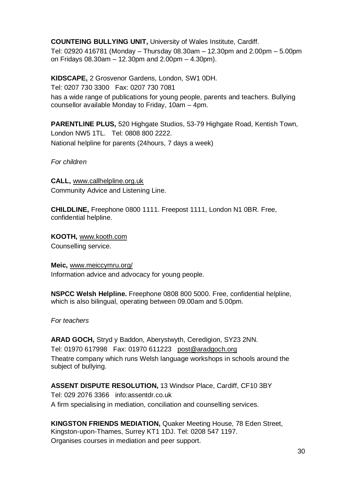**COUNTEING BULLYING UNIT,** University of Wales Institute, Cardiff.

Tel: 02920 416781 (Monday – Thursday 08.30am – 12.30pm and 2.00pm – 5.00pm on Fridays 08.30am – 12.30pm and 2.00pm – 4.30pm).

**KIDSCAPE,** 2 Grosvenor Gardens, London, SW1 0DH. Tel: 0207 730 3300 Fax: 0207 730 7081 has a wide range of publications for young people, parents and teachers. Bullying counsellor available Monday to Friday, 10am – 4pm.

**PARENTLINE PLUS,** 520 Highgate Studios, 53-79 Highgate Road, Kentish Town, London NW5 1TL. Tel: 0808 800 2222. National helpline for parents (24hours, 7 days a week)

*For children* 

**CALL,** [www.callhelpline.org.uk](http://www.callhelpline.org.uk/) Community Advice and Listening Line.

**CHILDLINE,** Freephone 0800 1111. Freepost 1111, London N1 0BR. Free, confidential helpline.

**KOOTH,** [www.kooth.com](http://www.kooth.com/) Counselling service.

**Meic,** [www.meiccymru.org/](http://www.meiccymru.org/) Information advice and advocacy for young people.

**NSPCC Welsh Helpline.** Freephone 0808 800 5000. Free, confidential helpline, which is also bilingual, operating between 09.00am and 5.00pm.

*For teachers* 

**ARAD GOCH,** Stryd y Baddon, Aberystwyth, Ceredigion, SY23 2NN. Tel: 01970 617998 Fax: 01970 611223 [post@aradgoch.org](mailto:post@aradgoch.org) Theatre company which runs Welsh language workshops in schools around the subject of bullying.

**ASSENT DISPUTE RESOLUTION,** 13 Windsor Place, Cardiff, CF10 3BY Tel: 029 2076 3366 info:assentdr.co.uk A firm specialising in mediation, conciliation and counselling services.

**KINGSTON FRIENDS MEDIATION,** Quaker Meeting House, 78 Eden Street, Kingston-upon-Thames, Surrey KT1 1DJ. Tel: 0208 547 1197. Organises courses in mediation and peer support.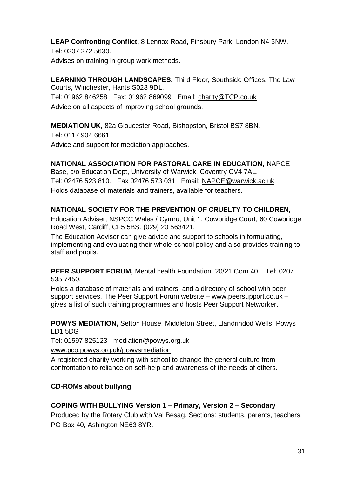**LEAP Confronting Conflict,** 8 Lennox Road, Finsbury Park, London N4 3NW. Tel: 0207 272 5630. Advises on training in group work methods.

**LEARNING THROUGH LANDSCAPES,** Third Floor, Southside Offices, The Law Courts, Winchester, Hants S023 9DL. Tel: 01962 846258 Fax: 01962 869099 Email: [charity@TCP.co.uk](mailto:charity@TCP.co.uk) Advice on all aspects of improving school grounds.

**MEDIATION UK,** 82a Gloucester Road, Bishopston, Bristol BS7 8BN.

Tel: 0117 904 6661 Advice and support for mediation approaches.

# **NATIONAL ASSOCIATION FOR PASTORAL CARE IN EDUCATION,** NAPCE

Base, c/o Education Dept, University of Warwick, Coventry CV4 7AL. Tel: 02476 523 810. Fax 02476 573 031 Email: [NAPCE@warwick.ac.uk](mailto:NAPCE@warwick.ac.uk) Holds database of materials and trainers, available for teachers.

# **NATIONAL SOCIETY FOR THE PREVENTION OF CRUELTY TO CHILDREN,**

Education Adviser, NSPCC Wales / Cymru, Unit 1, Cowbridge Court, 60 Cowbridge Road West, Cardiff, CF5 5BS. (029) 20 563421.

The Education Adviser can give advice and support to schools in formulating, implementing and evaluating their whole-school policy and also provides training to staff and pupils.

**PEER SUPPORT FORUM,** Mental health Foundation, 20/21 Corn 40L. Tel: 0207 535 7450.

Holds a database of materials and trainers, and a directory of school with peer support services. The Peer Support Forum website – [www.peersupport.co.uk](http://www.peersupport.co.uk/) – gives a list of such training programmes and hosts Peer Support Networker.

**POWYS MEDIATION,** Sefton House, Middleton Street, Llandrindod Wells, Powys LD1 5DG

Tel: 01597 825123 [mediation@powys.org.uk](mailto:mediation@powys.org.uk)

[www.pco.powys.org.uk/powysmediation](http://www.pco.powys.org.uk/powysmediation)

A registered charity working with school to change the general culture from confrontation to reliance on self-help and awareness of the needs of others.

# **CD-ROMs about bullying**

# **COPING WITH BULLYING Version 1 – Primary, Version 2 – Secondary**

Produced by the Rotary Club with Val Besag. Sections: students, parents, teachers. PO Box 40, Ashington NE63 8YR.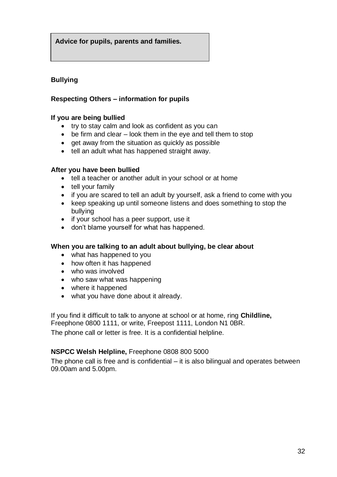**Advice for pupils, parents and families.**

# **Bullying**

# **Respecting Others – information for pupils**

#### **If you are being bullied**

- try to stay calm and look as confident as you can
- be firm and clear look them in the eye and tell them to stop
- get away from the situation as quickly as possible
- tell an adult what has happened straight away.

#### **After you have been bullied**

- tell a teacher or another adult in your school or at home
- tell your family
- if you are scared to tell an adult by yourself, ask a friend to come with you
- keep speaking up until someone listens and does something to stop the bullying
- if your school has a peer support, use it
- don't blame yourself for what has happened.

#### **When you are talking to an adult about bullying, be clear about**

- what has happened to you
- how often it has happened
- who was involved
- who saw what was happening
- where it happened
- what you have done about it already.

If you find it difficult to talk to anyone at school or at home, ring **Childline,** Freephone 0800 1111, or write, Freepost 1111, London N1 0BR.

The phone call or letter is free. It is a confidential helpline.

# **NSPCC Welsh Helpline,** Freephone 0808 800 5000

The phone call is free and is confidential – it is also bilingual and operates between 09.00am and 5.00pm.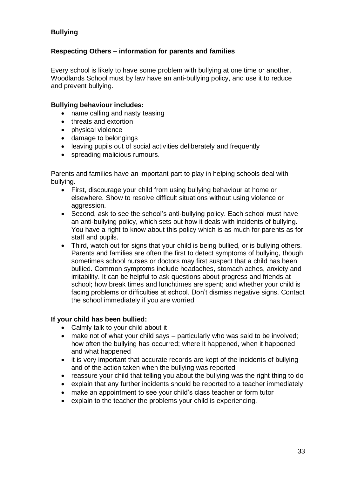# **Bullying**

# **Respecting Others – information for parents and families**

Every school is likely to have some problem with bullying at one time or another. Woodlands School must by law have an anti-bullying policy, and use it to reduce and prevent bullying.

# **Bullying behaviour includes:**

- name calling and nasty teasing
- threats and extortion
- physical violence
- damage to belongings
- leaving pupils out of social activities deliberately and frequently
- spreading malicious rumours.

Parents and families have an important part to play in helping schools deal with bullying.

- First, discourage your child from using bullying behaviour at home or elsewhere. Show to resolve difficult situations without using violence or aggression.
- Second, ask to see the school's anti-bullying policy. Each school must have an anti-bullying policy, which sets out how it deals with incidents of bullying. You have a right to know about this policy which is as much for parents as for staff and pupils.
- Third, watch out for signs that your child is being bullied, or is bullying others. Parents and families are often the first to detect symptoms of bullying, though sometimes school nurses or doctors may first suspect that a child has been bullied. Common symptoms include headaches, stomach aches, anxiety and irritability. It can be helpful to ask questions about progress and friends at school; how break times and lunchtimes are spent; and whether your child is facing problems or difficulties at school. Don't dismiss negative signs. Contact the school immediately if you are worried.

#### **If your child has been bullied:**

- Calmly talk to your child about it
- make not of what your child says particularly who was said to be involved; how often the bullying has occurred; where it happened, when it happened and what happened
- it is very important that accurate records are kept of the incidents of bullying and of the action taken when the bullying was reported
- reassure your child that telling you about the bullying was the right thing to do
- explain that any further incidents should be reported to a teacher immediately
- make an appointment to see your child's class teacher or form tutor
- explain to the teacher the problems your child is experiencing.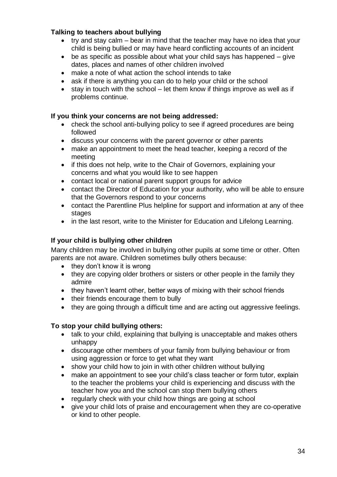# **Talking to teachers about bullying**

- try and stay calm bear in mind that the teacher may have no idea that your child is being bullied or may have heard conflicting accounts of an incident
- be as specific as possible about what your child says has happened give dates, places and names of other children involved
- make a note of what action the school intends to take
- ask if there is anything you can do to help your child or the school
- stay in touch with the school let them know if things improve as well as if problems continue.

# **If you think your concerns are not being addressed:**

- check the school anti-bullying policy to see if agreed procedures are being followed
- discuss your concerns with the parent governor or other parents
- make an appointment to meet the head teacher, keeping a record of the meeting
- if this does not help, write to the Chair of Governors, explaining your concerns and what you would like to see happen
- contact local or national parent support groups for advice
- contact the Director of Education for your authority, who will be able to ensure that the Governors respond to your concerns
- contact the Parentline Plus helpline for support and information at any of thee stages
- in the last resort, write to the Minister for Education and Lifelong Learning.

# **If your child is bullying other children**

Many children may be involved in bullying other pupils at some time or other. Often parents are not aware. Children sometimes bully others because:

- they don't know it is wrong
- they are copying older brothers or sisters or other people in the family they admire
- they haven't learnt other, better ways of mixing with their school friends
- their friends encourage them to bully
- they are going through a difficult time and are acting out aggressive feelings.

# **To stop your child bullying others:**

- talk to your child, explaining that bullying is unacceptable and makes others unhappy
- discourage other members of your family from bullying behaviour or from using aggression or force to get what they want
- show your child how to join in with other children without bullying
- make an appointment to see your child's class teacher or form tutor, explain to the teacher the problems your child is experiencing and discuss with the teacher how you and the school can stop them bullying others
- regularly check with your child how things are going at school
- give your child lots of praise and encouragement when they are co-operative or kind to other people.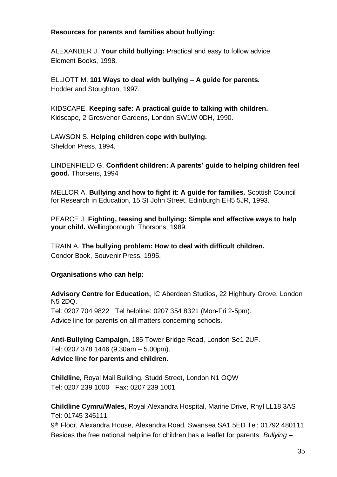# **Resources for parents and families about bullying:**

ALEXANDER J. **Your child bullying:** Practical and easy to follow advice. Element Books, 1998.

ELLIOTT M. **101 Ways to deal with bullying – A guide for parents.**  Hodder and Stoughton, 1997.

KIDSCAPE. **Keeping safe: A practical guide to talking with children.**  Kidscape, 2 Grosvenor Gardens, London SW1W 0DH, 1990.

LAWSON S. **Helping children cope with bullying.**  Sheldon Press, 1994.

LINDENFIELD G. **Confident children: A parents' guide to helping children feel good.** Thorsens, 1994

MELLOR A. **Bullying and how to fight it: A guide for families.** Scottish Council for Research in Education, 15 St John Street, Edinburgh EH5 5JR, 1993.

PEARCE J. **Fighting, teasing and bullying: Simple and effective ways to help your child.** Wellingborough: Thorsons, 1989.

TRAIN A. **The bullying problem: How to deal with difficult children.**  Condor Book, Souvenir Press, 1995.

**Organisations who can help:** 

**Advisory Centre for Education,** IC Aberdeen Studios, 22 Highbury Grove, London N5 2DQ. Tel: 0207 704 9822 Tel helpline: 0207 354 8321 (Mon-Fri 2-5pm). Advice line for parents on all matters concerning schools.

**Anti-Bullying Campaign,** 185 Tower Bridge Road, London Se1 2UF. Tel: 0207 378 1446 (9.30am – 5.00pm). **Advice line for parents and children.** 

**Childline,** Royal Mail Building, Studd Street, London N1 OQW Tel: 0207 239 1000 Fax: 0207 239 1001

**Childline Cymru/Wales,** Royal Alexandra Hospital, Marine Drive, Rhyl LL18 3AS Tel: 01745 345111

9 th Floor, Alexandra House, Alexandra Road, Swansea SA1 5ED Tel: 01792 480111 Besides the free national helpline for children has a leaflet for parents: *Bullying –*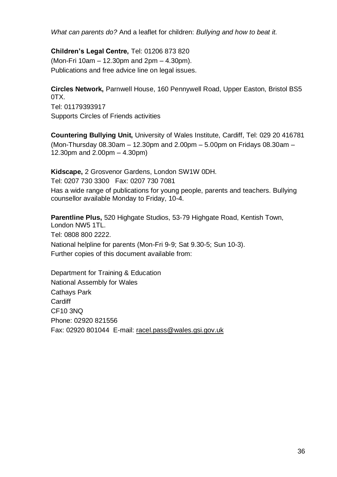*What can parents do?* And a leaflet for children: *Bullying and how to beat it.* 

**Children's Legal Centre,** Tel: 01206 873 820 (Mon-Fri 10am – 12.30pm and 2pm – 4.30pm). Publications and free advice line on legal issues.

**Circles Network,** Parnwell House, 160 Pennywell Road, Upper Easton, Bristol BS5 0TX. Tel: 01179393917 Supports Circles of Friends activities

**Countering Bullying Unit,** University of Wales Institute, Cardiff, Tel: 029 20 416781 (Mon-Thursday 08.30am – 12.30pm and 2.00pm – 5.00pm on Fridays 08.30am – 12.30pm and 2.00pm – 4.30pm)

**Kidscape,** 2 Grosvenor Gardens, London SW1W 0DH. Tel: 0207 730 3300 Fax: 0207 730 7081 Has a wide range of publications for young people, parents and teachers. Bullying counsellor available Monday to Friday, 10-4.

**Parentline Plus,** 520 Highgate Studios, 53-79 Highgate Road, Kentish Town, London NW5 1TL. Tel: 0808 800 2222. National helpline for parents (Mon-Fri 9-9; Sat 9.30-5; Sun 10-3). Further copies of this document available from:

Department for Training & Education National Assembly for Wales Cathays Park **Cardiff** CF10 3NQ Phone: 02920 821556 Fax: 02920 801044 E-mail: [racel.pass@wales.gsi.gov.uk](mailto:racel.pass@wales.gsi.gov.uk)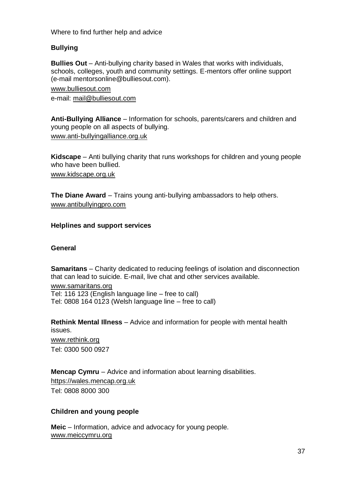Where to find further help and advice

# **Bullying**

**Bullies Out** – Anti-bullying charity based in Wales that works with individuals, schools, colleges, youth and community settings. E-mentors offer online support (e-mail mentorsonline@bulliesout.com).

[www.bulliesout.com](http://www.bulliesout.com/) e-mail: [mail@bulliesout.com](mailto:mail@bulliesout.com)

**Anti-Bullying Alliance** – Information for schools, parents/carers and children and young people on all aspects of bullying. [www.anti-bullyingalliance.org.uk](http://www.anti-bullyingalliance.org.uk/)

**Kidscape** – Anti bullying charity that runs workshops for children and young people who have been bullied.

[www.kidscape.org.uk](http://www.kidscape.org.uk/)

**The Diane Award** – Trains young anti-bullying ambassadors to help others. [www.antibullyingpro.com](http://www.antibullyingpro.com/)

**Helplines and support services**

# **General**

**Samaritans** – Charity dedicated to reducing feelings of isolation and disconnection that can lead to suicide. E-mail, live chat and other services available.

[www.samaritans.org](http://www.samaritans.org/) Tel: 116 123 (English language line – free to call) Tel: 0808 164 0123 (Welsh language line – free to call)

**Rethink Mental Illness** – Advice and information for people with mental health issues.

[www.rethink.org](http://www.rethink.org/) Tel: 0300 500 0927

**Mencap Cymru** – Advice and information about learning disabilities.

[https://wales.mencap.org.uk](https://wales.mencap.org.uk/)

Tel: 0808 8000 300

#### **Children and young people**

**Meic** – Information, advice and advocacy for young people. [www.meiccymru.org](http://www.meiccymru.org/)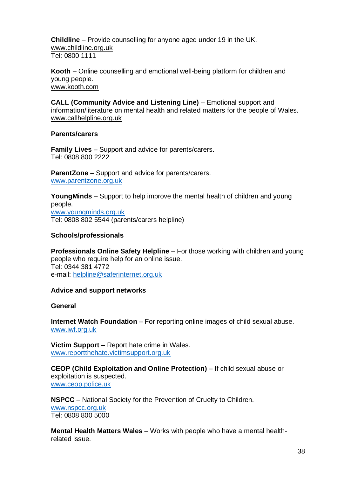**Childline** – Provide counselling for anyone aged under 19 in the UK. [www.childline.org.uk](http://www.childline.org.uk/) Tel: 0800 1111

**Kooth** – Online counselling and emotional well-being platform for children and young people. [www.kooth.com](http://www.kooth.com/)

**CALL (Community Advice and Listening Line)** – Emotional support and information/literature on mental health and related matters for the people of Wales. [www.callhelpline.org.uk](http://www.callhelpline.org.uk/)

#### **Parents/carers**

**Family Lives** – Support and advice for parents/carers. Tel: 0808 800 2222

**ParentZone** – Support and advice for parents/carers. [www.parentzone.org.uk](http://www.parentzone.org.uk/)

**YoungMinds** – Support to help improve the mental health of children and young people. [www.youngminds.org.uk](http://www.youngminds.org.uk/) Tel: 0808 802 5544 (parents/carers helpline)

#### **Schools/professionals**

**Professionals Online Safety Helpline** – For those working with children and young people who require help for an online issue. Tel: 0344 381 4772 e-mail: [helpline@saferinternet.org.uk](mailto:helpline@saferinternet.org.uk)

#### **Advice and support networks**

#### **General**

**Internet Watch Foundation** – For reporting online images of child sexual abuse. [www.iwf.org.uk](http://www.iwf.org.uk/)

**Victim Support** – Report hate crime in Wales. [www.reportthehate.victimsupport.org.uk](http://www.reportthehate.victimsupport.org.uk/)

**CEOP (Child Exploitation and Online Protection)** – If child sexual abuse or exploitation is suspected. [www.ceop.police.uk](http://www.ceop.police.uk/)

**NSPCC** – National Society for the Prevention of Cruelty to Children. [www.nspcc.org.uk](http://www.nspcc.org.uk/) Tel: 0808 800 5000

**Mental Health Matters Wales** – Works with people who have a mental healthrelated issue.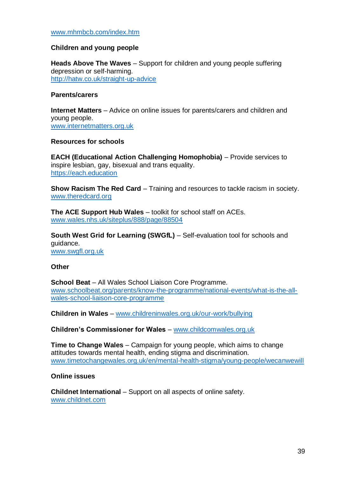#### [www.mhmbcb.com/index.htm](http://www.mhmbcb.com/index.htm)

#### **Children and young people**

**Heads Above The Waves** – Support for children and young people suffering depression or self-harming. <http://hatw.co.uk/straight-up-advice>

#### **Parents/carers**

**Internet Matters** – Advice on online issues for parents/carers and children and young people. [www.internetmatters.org.uk](http://www.internetmatters.org.uk/)

#### **Resources for schools**

**EACH (Educational Action Challenging Homophobia)** – Provide services to inspire lesbian, gay, bisexual and trans equality. [https://each.education](https://each.education/)

**Show Racism The Red Card** – Training and resources to tackle racism in society. [www.theredcard.org](http://www.theredcard.org/)

**The ACE Support Hub Wales** – toolkit for school staff on ACEs. [www.wales.nhs.uk/siteplus/888/page/88504](http://www.wales.nhs.uk/siteplus/888/page/88504)

**South West Grid for Learning (SWGfL)** – Self-evaluation tool for schools and guidance. [www.swgfl.org.uk](http://www.swgfl.org.uk/)

#### **Other**

**School Beat** – All Wales School Liaison Core Programme. [www.schoolbeat.org/parents/know-the-programme/national-events/what-is-the-all](http://www.schoolbeat.org/parents/know-the-programme/national-events/what-is-the-all-wales-school-liaison-core-programme)[wales-school-liaison-core-programme](http://www.schoolbeat.org/parents/know-the-programme/national-events/what-is-the-all-wales-school-liaison-core-programme)

**Children in Wales** – [www.childreninwales.org.uk/our-work/bullying](http://www.childreninwales.org.uk/our-work/bullying)

**Children's Commissioner for Wales** – [www.childcomwales.org.uk](http://www.childcomwales.org.uk/)

**Time to Change Wales** – Campaign for young people, which aims to change attitudes towards mental health, ending stigma and discrimination. [www.timetochangewales.org.uk/en/mental-health-stigma/young-people/wecanwewill](http://www.timetochangewales.org.uk/en/mental-health-stigma/young-people/wecanwewill)

#### **Online issues**

**Childnet International** – Support on all aspects of online safety. [www.childnet.com](http://www.childnet.com/)